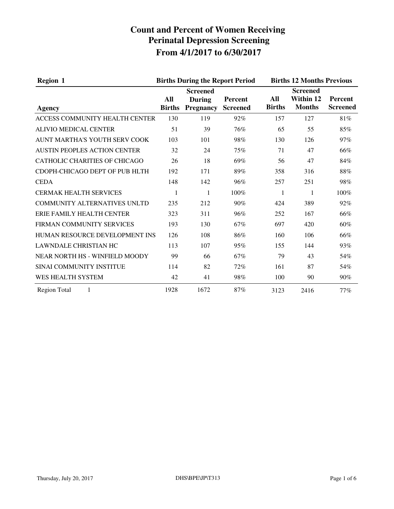| <b>Region 1</b>                      | <b>Births During the Report Period</b> |                                                      |                                   |                      | <b>Births 12 Months Previous</b>              |                                   |  |
|--------------------------------------|----------------------------------------|------------------------------------------------------|-----------------------------------|----------------------|-----------------------------------------------|-----------------------------------|--|
| Agency                               | All<br><b>Births</b>                   | <b>Screened</b><br><b>During</b><br><b>Pregnancy</b> | <b>Percent</b><br><b>Screened</b> | All<br><b>Births</b> | <b>Screened</b><br>Within 12<br><b>Months</b> | <b>Percent</b><br><b>Screened</b> |  |
| ACCESS COMMUNITY HEALTH CENTER       | 130                                    | 119                                                  | 92%                               | 157                  | 127                                           | 81%                               |  |
| <b>ALIVIO MEDICAL CENTER</b>         | 51                                     | 39                                                   | 76%                               | 65                   | 55                                            | 85%                               |  |
| AUNT MARTHA'S YOUTH SERV COOK        | 103                                    | 101                                                  | 98%                               | 130                  | 126                                           | 97%                               |  |
| <b>AUSTIN PEOPLES ACTION CENTER</b>  | 32                                     | 24                                                   | 75%                               | 71                   | 47                                            | 66%                               |  |
| <b>CATHOLIC CHARITIES OF CHICAGO</b> | 26                                     | 18                                                   | 69%                               | 56                   | 47                                            | 84%                               |  |
| CDOPH-CHICAGO DEPT OF PUB HLTH       | 192                                    | 171                                                  | 89%                               | 358                  | 316                                           | 88%                               |  |
| <b>CEDA</b>                          | 148                                    | 142                                                  | 96%                               | 257                  | 251                                           | 98%                               |  |
| <b>CERMAK HEALTH SERVICES</b>        | 1                                      | 1                                                    | 100%                              | 1                    | 1                                             | 100%                              |  |
| COMMUNITY ALTERNATIVES UNLTD         | 235                                    | 212                                                  | $90\%$                            | 424                  | 389                                           | 92%                               |  |
| ERIE FAMILY HEALTH CENTER            | 323                                    | 311                                                  | 96%                               | 252                  | 167                                           | 66%                               |  |
| FIRMAN COMMUNITY SERVICES            | 193                                    | 130                                                  | 67%                               | 697                  | 420                                           | 60%                               |  |
| HUMAN RESOURCE DEVELOPMENT INS       | 126                                    | 108                                                  | 86%                               | 160                  | 106                                           | 66%                               |  |
| <b>LAWNDALE CHRISTIAN HC</b>         | 113                                    | 107                                                  | 95%                               | 155                  | 144                                           | 93%                               |  |
| NEAR NORTH HS - WINFIELD MOODY       | 99                                     | 66                                                   | 67%                               | 79                   | 43                                            | 54%                               |  |
| SINAI COMMUNITY INSTITUE             | 114                                    | 82                                                   | 72%                               | 161                  | 87                                            | 54%                               |  |
| WES HEALTH SYSTEM                    | 42                                     | 41                                                   | 98%                               | 100                  | 90                                            | 90%                               |  |
| <b>Region Total</b><br>1             | 1928                                   | 1672                                                 | 87%                               | 3123                 | 2416                                          | 77%                               |  |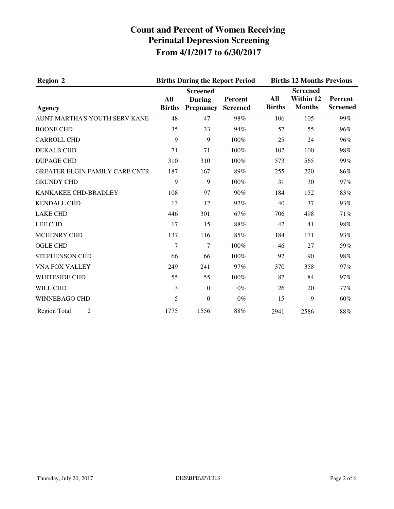| <b>Region 2</b>                       |                      | <b>Births During the Report Period</b>               |                            | <b>Births 12 Months Previous</b> |                                               |                            |
|---------------------------------------|----------------------|------------------------------------------------------|----------------------------|----------------------------------|-----------------------------------------------|----------------------------|
| Agency                                | All<br><b>Births</b> | <b>Screened</b><br><b>During</b><br><b>Pregnancy</b> | Percent<br><b>Screened</b> | All<br><b>Births</b>             | <b>Screened</b><br>Within 12<br><b>Months</b> | Percent<br><b>Screened</b> |
| AUNT MARTHA'S YOUTH SERV KANE         | 48                   | 47                                                   | 98%                        | 106                              | 105                                           | 99%                        |
| <b>BOONE CHD</b>                      | 35                   | 33                                                   | 94%                        | 57                               | 55                                            | 96%                        |
| <b>CARROLL CHD</b>                    | 9                    | 9                                                    | 100%                       | 25                               | 24                                            | 96%                        |
| <b>DEKALB CHD</b>                     | 71                   | 71                                                   | 100%                       | 102                              | 100                                           | 98%                        |
| <b>DUPAGE CHD</b>                     | 310                  | 310                                                  | 100%                       | 573                              | 565                                           | 99%                        |
| <b>GREATER ELGIN FAMILY CARE CNTR</b> | 187                  | 167                                                  | 89%                        | 255                              | 220                                           | 86%                        |
| <b>GRUNDY CHD</b>                     | 9                    | 9                                                    | 100%                       | 31                               | 30                                            | 97%                        |
| KANKAKEE CHD-BRADLEY                  | 108                  | 97                                                   | 90%                        | 184                              | 152                                           | 83%                        |
| <b>KENDALL CHD</b>                    | 13                   | 12                                                   | 92%                        | 40                               | 37                                            | 93%                        |
| <b>LAKE CHD</b>                       | 446                  | 301                                                  | 67%                        | 706                              | 498                                           | 71%                        |
| <b>LEE CHD</b>                        | 17                   | 15                                                   | $88\%$                     | 42                               | 41                                            | 98%                        |
| <b>MCHENRY CHD</b>                    | 137                  | 116                                                  | 85%                        | 184                              | 171                                           | 93%                        |
| <b>OGLE CHD</b>                       | $\overline{7}$       | 7                                                    | 100%                       | 46                               | 27                                            | 59%                        |
| STEPHENSON CHD                        | 66                   | 66                                                   | 100%                       | 92                               | 90                                            | 98%                        |
| VNA FOX VALLEY                        | 249                  | 241                                                  | 97%                        | 370                              | 358                                           | 97%                        |
| <b>WHITESIDE CHD</b>                  | 55                   | 55                                                   | 100%                       | 87                               | 84                                            | 97%                        |
| <b>WILL CHD</b>                       | 3                    | $\mathbf{0}$                                         | $0\%$                      | 26                               | 20                                            | 77%                        |
| WINNEBAGO CHD                         | 5                    | $\boldsymbol{0}$                                     | $0\%$                      | 15                               | 9                                             | 60%                        |
| $\overline{2}$<br><b>Region Total</b> | 1775                 | 1556                                                 | 88%                        | 2941                             | 2586                                          | $88\%$                     |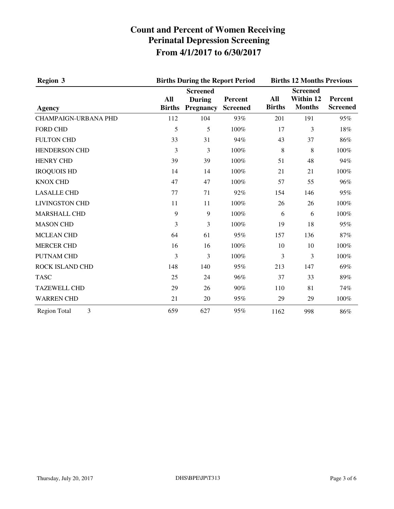| <b>Region 3</b>             | <b>Births During the Report Period</b> |                                                      |                            | <b>Births 12 Months Previous</b> |                                               |                                   |
|-----------------------------|----------------------------------------|------------------------------------------------------|----------------------------|----------------------------------|-----------------------------------------------|-----------------------------------|
| <b>Agency</b>               | All<br><b>Births</b>                   | <b>Screened</b><br><b>During</b><br><b>Pregnancy</b> | Percent<br><b>Screened</b> | All<br><b>Births</b>             | <b>Screened</b><br>Within 12<br><b>Months</b> | <b>Percent</b><br><b>Screened</b> |
| <b>CHAMPAIGN-URBANA PHD</b> | 112                                    | 104                                                  | 93%                        | 201                              | 191                                           | 95%                               |
| <b>FORD CHD</b>             | 5                                      | 5                                                    | 100%                       | 17                               | 3                                             | 18%                               |
| <b>FULTON CHD</b>           | 33                                     | 31                                                   | 94%                        | 43                               | 37                                            | 86%                               |
| <b>HENDERSON CHD</b>        | 3                                      | 3                                                    | 100%                       | 8                                | 8                                             | 100%                              |
| <b>HENRY CHD</b>            | 39                                     | 39                                                   | 100%                       | 51                               | 48                                            | 94%                               |
| <b>IROQUOIS HD</b>          | 14                                     | 14                                                   | 100%                       | 21                               | 21                                            | 100%                              |
| <b>KNOX CHD</b>             | 47                                     | 47                                                   | 100%                       | 57                               | 55                                            | 96%                               |
| <b>LASALLE CHD</b>          | 77                                     | 71                                                   | 92%                        | 154                              | 146                                           | 95%                               |
| <b>LIVINGSTON CHD</b>       | 11                                     | 11                                                   | 100%                       | 26                               | 26                                            | 100%                              |
| <b>MARSHALL CHD</b>         | 9                                      | 9                                                    | 100%                       | 6                                | 6                                             | 100%                              |
| <b>MASON CHD</b>            | 3                                      | 3                                                    | 100%                       | 19                               | 18                                            | 95%                               |
| <b>MCLEAN CHD</b>           | 64                                     | 61                                                   | 95%                        | 157                              | 136                                           | 87%                               |
| <b>MERCER CHD</b>           | 16                                     | 16                                                   | 100%                       | 10                               | 10                                            | 100%                              |
| <b>PUTNAM CHD</b>           | 3                                      | 3                                                    | 100%                       | 3                                | 3                                             | 100%                              |
| ROCK ISLAND CHD             | 148                                    | 140                                                  | 95%                        | 213                              | 147                                           | 69%                               |
| <b>TASC</b>                 | 25                                     | 24                                                   | 96%                        | 37                               | 33                                            | 89%                               |
| <b>TAZEWELL CHD</b>         | 29                                     | 26                                                   | 90%                        | 110                              | 81                                            | 74%                               |
| <b>WARREN CHD</b>           | 21                                     | 20                                                   | 95%                        | 29                               | 29                                            | 100%                              |
| 3<br><b>Region Total</b>    | 659                                    | 627                                                  | 95%                        | 1162                             | 998                                           | 86%                               |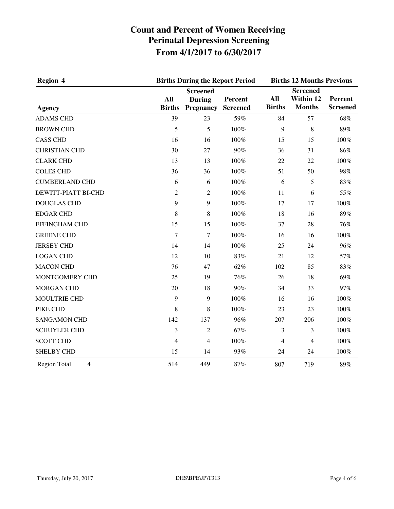| <b>Region 4</b>                       | <b>Births During the Report Period</b> | <b>Births 12 Months Previous</b>                     |                            |                      |                                               |                            |
|---------------------------------------|----------------------------------------|------------------------------------------------------|----------------------------|----------------------|-----------------------------------------------|----------------------------|
| <b>Agency</b>                         | All<br><b>Births</b>                   | <b>Screened</b><br><b>During</b><br><b>Pregnancy</b> | Percent<br><b>Screened</b> | All<br><b>Births</b> | <b>Screened</b><br>Within 12<br><b>Months</b> | Percent<br><b>Screened</b> |
| <b>ADAMS CHD</b>                      | 39                                     | 23                                                   | 59%                        | 84                   | 57                                            | 68%                        |
| <b>BROWN CHD</b>                      | 5                                      | 5                                                    | 100%                       | 9                    | 8                                             | 89%                        |
| <b>CASS CHD</b>                       | 16                                     | 16                                                   | 100%                       | 15                   | 15                                            | 100%                       |
| <b>CHRISTIAN CHD</b>                  | 30                                     | 27                                                   | 90%                        | 36                   | 31                                            | 86%                        |
| <b>CLARK CHD</b>                      | 13                                     | 13                                                   | 100%                       | 22                   | 22                                            | 100%                       |
| <b>COLES CHD</b>                      | 36                                     | 36                                                   | 100%                       | 51                   | 50                                            | 98%                        |
| <b>CUMBERLAND CHD</b>                 | 6                                      | 6                                                    | 100%                       | 6                    | 5                                             | 83%                        |
| DEWITT-PIATT BI-CHD                   | 2                                      | $\mathfrak{2}$                                       | 100%                       | 11                   | 6                                             | 55%                        |
| <b>DOUGLAS CHD</b>                    | 9                                      | 9                                                    | 100%                       | 17                   | 17                                            | 100%                       |
| <b>EDGAR CHD</b>                      | 8                                      | 8                                                    | 100%                       | 18                   | 16                                            | 89%                        |
| <b>EFFINGHAM CHD</b>                  | 15                                     | 15                                                   | 100%                       | 37                   | 28                                            | 76%                        |
| <b>GREENE CHD</b>                     | $\overline{7}$                         | $\tau$                                               | 100%                       | 16                   | 16                                            | 100%                       |
| <b>JERSEY CHD</b>                     | 14                                     | 14                                                   | 100%                       | 25                   | 24                                            | 96%                        |
| <b>LOGAN CHD</b>                      | 12                                     | 10                                                   | 83%                        | 21                   | 12                                            | 57%                        |
| <b>MACON CHD</b>                      | 76                                     | 47                                                   | 62%                        | 102                  | 85                                            | 83%                        |
| MONTGOMERY CHD                        | 25                                     | 19                                                   | 76%                        | 26                   | 18                                            | 69%                        |
| <b>MORGAN CHD</b>                     | 20                                     | 18                                                   | 90%                        | 34                   | 33                                            | 97%                        |
| MOULTRIE CHD                          | 9                                      | 9                                                    | 100%                       | 16                   | 16                                            | 100%                       |
| PIKE CHD                              | 8                                      | 8                                                    | 100%                       | 23                   | 23                                            | 100%                       |
| <b>SANGAMON CHD</b>                   | 142                                    | 137                                                  | 96%                        | 207                  | 206                                           | 100%                       |
| <b>SCHUYLER CHD</b>                   | 3                                      | $\overline{2}$                                       | 67%                        | 3                    | 3                                             | 100%                       |
| <b>SCOTT CHD</b>                      | 4                                      | 4                                                    | 100%                       | 4                    | $\overline{4}$                                | 100%                       |
| <b>SHELBY CHD</b>                     | 15                                     | 14                                                   | 93%                        | 24                   | 24                                            | 100%                       |
| $\overline{4}$<br><b>Region Total</b> | 514                                    | 449                                                  | 87%                        | 807                  | 719                                           | 89%                        |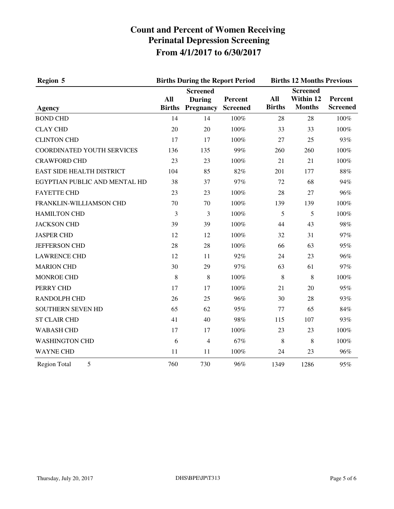| <b>Region 5</b>               |                      | <b>Births During the Report Period</b>                        |         | <b>Births 12 Months Previous</b> |                                               |                            |
|-------------------------------|----------------------|---------------------------------------------------------------|---------|----------------------------------|-----------------------------------------------|----------------------------|
| <b>Agency</b>                 | All<br><b>Births</b> | <b>Screened</b><br><b>During</b><br><b>Pregnancy Screened</b> | Percent | All<br><b>Births</b>             | <b>Screened</b><br>Within 12<br><b>Months</b> | Percent<br><b>Screened</b> |
| <b>BOND CHD</b>               | 14                   | 14                                                            | 100%    | 28                               | 28                                            | 100%                       |
| <b>CLAY CHD</b>               | 20                   | 20                                                            | 100%    | 33                               | 33                                            | 100%                       |
| <b>CLINTON CHD</b>            | 17                   | 17                                                            | 100%    | 27                               | 25                                            | 93%                        |
| COORDINATED YOUTH SERVICES    | 136                  | 135                                                           | 99%     | 260                              | 260                                           | 100%                       |
| <b>CRAWFORD CHD</b>           | 23                   | 23                                                            | 100%    | 21                               | 21                                            | 100%                       |
| EAST SIDE HEALTH DISTRICT     | 104                  | 85                                                            | 82%     | 201                              | 177                                           | 88%                        |
| EGYPTIAN PUBLIC AND MENTAL HD | 38                   | 37                                                            | 97%     | 72                               | 68                                            | 94%                        |
| <b>FAYETTE CHD</b>            | 23                   | 23                                                            | 100%    | 28                               | 27                                            | 96%                        |
| FRANKLIN-WILLIAMSON CHD       | 70                   | 70                                                            | 100%    | 139                              | 139                                           | 100%                       |
| <b>HAMILTON CHD</b>           | 3                    | 3                                                             | 100%    | 5                                | 5                                             | 100%                       |
| <b>JACKSON CHD</b>            | 39                   | 39                                                            | 100%    | 44                               | 43                                            | 98%                        |
| <b>JASPER CHD</b>             | 12                   | 12                                                            | 100%    | 32                               | 31                                            | 97%                        |
| JEFFERSON CHD                 | 28                   | 28                                                            | 100%    | 66                               | 63                                            | 95%                        |
| <b>LAWRENCE CHD</b>           | 12                   | 11                                                            | 92%     | 24                               | 23                                            | 96%                        |
| <b>MARION CHD</b>             | 30                   | 29                                                            | 97%     | 63                               | 61                                            | 97%                        |
| <b>MONROE CHD</b>             | 8                    | 8                                                             | 100%    | 8                                | 8                                             | 100%                       |
| PERRY CHD                     | 17                   | 17                                                            | 100%    | 21                               | 20                                            | 95%                        |
| RANDOLPH CHD                  | 26                   | 25                                                            | 96%     | 30                               | 28                                            | 93%                        |
| SOUTHERN SEVEN HD             | 65                   | 62                                                            | 95%     | 77                               | 65                                            | 84%                        |
| <b>ST CLAIR CHD</b>           | 41                   | 40                                                            | 98%     | 115                              | 107                                           | 93%                        |
| <b>WABASH CHD</b>             | 17                   | 17                                                            | 100%    | 23                               | 23                                            | 100%                       |
| <b>WASHINGTON CHD</b>         | 6                    | $\overline{4}$                                                | 67%     | 8                                | 8                                             | 100%                       |
| <b>WAYNE CHD</b>              | 11                   | 11                                                            | 100%    | 24                               | 23                                            | 96%                        |
| 5<br><b>Region Total</b>      | 760                  | 730                                                           | 96%     | 1349                             | 1286                                          | 95%                        |